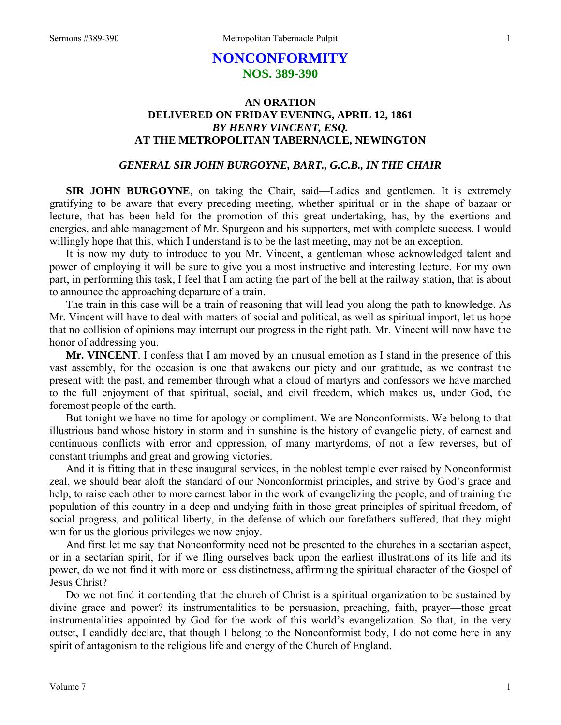# **NONCONFORMITY NOS. 389-390**

## **AN ORATION DELIVERED ON FRIDAY EVENING, APRIL 12, 1861**  *BY HENRY VINCENT, ESQ.*  **AT THE METROPOLITAN TABERNACLE, NEWINGTON**

### *GENERAL SIR JOHN BURGOYNE, BART., G.C.B., IN THE CHAIR*

**SIR JOHN BURGOYNE**, on taking the Chair, said—Ladies and gentlemen. It is extremely gratifying to be aware that every preceding meeting, whether spiritual or in the shape of bazaar or lecture, that has been held for the promotion of this great undertaking, has, by the exertions and energies, and able management of Mr. Spurgeon and his supporters, met with complete success. I would willingly hope that this, which I understand is to be the last meeting, may not be an exception.

It is now my duty to introduce to you Mr. Vincent, a gentleman whose acknowledged talent and power of employing it will be sure to give you a most instructive and interesting lecture. For my own part, in performing this task, I feel that I am acting the part of the bell at the railway station, that is about to announce the approaching departure of a train.

The train in this case will be a train of reasoning that will lead you along the path to knowledge. As Mr. Vincent will have to deal with matters of social and political, as well as spiritual import, let us hope that no collision of opinions may interrupt our progress in the right path. Mr. Vincent will now have the honor of addressing you.

**Mr. VINCENT**. I confess that I am moved by an unusual emotion as I stand in the presence of this vast assembly, for the occasion is one that awakens our piety and our gratitude, as we contrast the present with the past, and remember through what a cloud of martyrs and confessors we have marched to the full enjoyment of that spiritual, social, and civil freedom, which makes us, under God, the foremost people of the earth.

But tonight we have no time for apology or compliment. We are Nonconformists. We belong to that illustrious band whose history in storm and in sunshine is the history of evangelic piety, of earnest and continuous conflicts with error and oppression, of many martyrdoms, of not a few reverses, but of constant triumphs and great and growing victories.

And it is fitting that in these inaugural services, in the noblest temple ever raised by Nonconformist zeal, we should bear aloft the standard of our Nonconformist principles, and strive by God's grace and help, to raise each other to more earnest labor in the work of evangelizing the people, and of training the population of this country in a deep and undying faith in those great principles of spiritual freedom, of social progress, and political liberty, in the defense of which our forefathers suffered, that they might win for us the glorious privileges we now enjoy.

And first let me say that Nonconformity need not be presented to the churches in a sectarian aspect, or in a sectarian spirit, for if we fling ourselves back upon the earliest illustrations of its life and its power, do we not find it with more or less distinctness, affirming the spiritual character of the Gospel of Jesus Christ?

Do we not find it contending that the church of Christ is a spiritual organization to be sustained by divine grace and power? its instrumentalities to be persuasion, preaching, faith, prayer—those great instrumentalities appointed by God for the work of this world's evangelization. So that, in the very outset, I candidly declare, that though I belong to the Nonconformist body, I do not come here in any spirit of antagonism to the religious life and energy of the Church of England.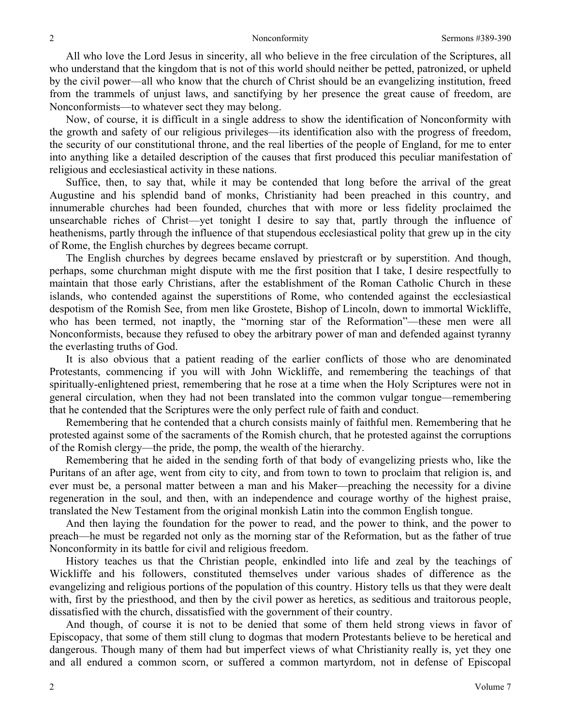All who love the Lord Jesus in sincerity, all who believe in the free circulation of the Scriptures, all who understand that the kingdom that is not of this world should neither be petted, patronized, or upheld by the civil power—all who know that the church of Christ should be an evangelizing institution, freed from the trammels of unjust laws, and sanctifying by her presence the great cause of freedom, are Nonconformists—to whatever sect they may belong.

Now, of course, it is difficult in a single address to show the identification of Nonconformity with the growth and safety of our religious privileges—its identification also with the progress of freedom, the security of our constitutional throne, and the real liberties of the people of England, for me to enter into anything like a detailed description of the causes that first produced this peculiar manifestation of religious and ecclesiastical activity in these nations.

Suffice, then, to say that, while it may be contended that long before the arrival of the great Augustine and his splendid band of monks, Christianity had been preached in this country, and innumerable churches had been founded, churches that with more or less fidelity proclaimed the unsearchable riches of Christ—yet tonight I desire to say that, partly through the influence of heathenisms, partly through the influence of that stupendous ecclesiastical polity that grew up in the city of Rome, the English churches by degrees became corrupt.

The English churches by degrees became enslaved by priestcraft or by superstition. And though, perhaps, some churchman might dispute with me the first position that I take, I desire respectfully to maintain that those early Christians, after the establishment of the Roman Catholic Church in these islands, who contended against the superstitions of Rome, who contended against the ecclesiastical despotism of the Romish See, from men like Grostete, Bishop of Lincoln, down to immortal Wickliffe, who has been termed, not inaptly, the "morning star of the Reformation"—these men were all Nonconformists, because they refused to obey the arbitrary power of man and defended against tyranny the everlasting truths of God.

It is also obvious that a patient reading of the earlier conflicts of those who are denominated Protestants, commencing if you will with John Wickliffe, and remembering the teachings of that spiritually-enlightened priest, remembering that he rose at a time when the Holy Scriptures were not in general circulation, when they had not been translated into the common vulgar tongue—remembering that he contended that the Scriptures were the only perfect rule of faith and conduct.

Remembering that he contended that a church consists mainly of faithful men. Remembering that he protested against some of the sacraments of the Romish church, that he protested against the corruptions of the Romish clergy—the pride, the pomp, the wealth of the hierarchy.

Remembering that he aided in the sending forth of that body of evangelizing priests who, like the Puritans of an after age, went from city to city, and from town to town to proclaim that religion is, and ever must be, a personal matter between a man and his Maker—preaching the necessity for a divine regeneration in the soul, and then, with an independence and courage worthy of the highest praise, translated the New Testament from the original monkish Latin into the common English tongue.

And then laying the foundation for the power to read, and the power to think, and the power to preach—he must be regarded not only as the morning star of the Reformation, but as the father of true Nonconformity in its battle for civil and religious freedom.

History teaches us that the Christian people, enkindled into life and zeal by the teachings of Wickliffe and his followers, constituted themselves under various shades of difference as the evangelizing and religious portions of the population of this country. History tells us that they were dealt with, first by the priesthood, and then by the civil power as heretics, as seditious and traitorous people, dissatisfied with the church, dissatisfied with the government of their country.

And though, of course it is not to be denied that some of them held strong views in favor of Episcopacy, that some of them still clung to dogmas that modern Protestants believe to be heretical and dangerous. Though many of them had but imperfect views of what Christianity really is, yet they one and all endured a common scorn, or suffered a common martyrdom, not in defense of Episcopal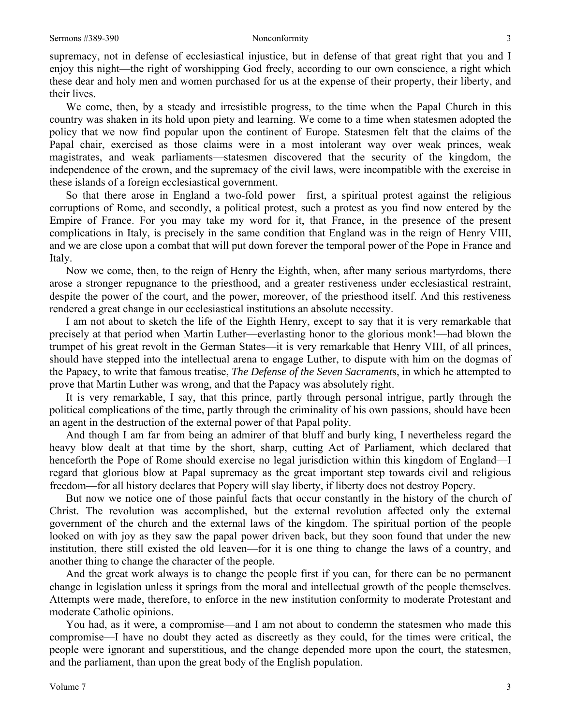supremacy, not in defense of ecclesiastical injustice, but in defense of that great right that you and I enjoy this night—the right of worshipping God freely, according to our own conscience, a right which these dear and holy men and women purchased for us at the expense of their property, their liberty, and their lives.

We come, then, by a steady and irresistible progress, to the time when the Papal Church in this country was shaken in its hold upon piety and learning. We come to a time when statesmen adopted the policy that we now find popular upon the continent of Europe. Statesmen felt that the claims of the Papal chair, exercised as those claims were in a most intolerant way over weak princes, weak magistrates, and weak parliaments—statesmen discovered that the security of the kingdom, the independence of the crown, and the supremacy of the civil laws, were incompatible with the exercise in these islands of a foreign ecclesiastical government.

So that there arose in England a two-fold power—first, a spiritual protest against the religious corruptions of Rome, and secondly, a political protest, such a protest as you find now entered by the Empire of France. For you may take my word for it, that France, in the presence of the present complications in Italy, is precisely in the same condition that England was in the reign of Henry VIII, and we are close upon a combat that will put down forever the temporal power of the Pope in France and Italy.

Now we come, then, to the reign of Henry the Eighth, when, after many serious martyrdoms, there arose a stronger repugnance to the priesthood, and a greater restiveness under ecclesiastical restraint, despite the power of the court, and the power, moreover, of the priesthood itself. And this restiveness rendered a great change in our ecclesiastical institutions an absolute necessity.

I am not about to sketch the life of the Eighth Henry, except to say that it is very remarkable that precisely at that period when Martin Luther—everlasting honor to the glorious monk!—had blown the trumpet of his great revolt in the German States—it is very remarkable that Henry VIII, of all princes, should have stepped into the intellectual arena to engage Luther, to dispute with him on the dogmas of the Papacy, to write that famous treatise, *The Defense of the Seven Sacrament*s, in which he attempted to prove that Martin Luther was wrong, and that the Papacy was absolutely right.

It is very remarkable, I say, that this prince, partly through personal intrigue, partly through the political complications of the time, partly through the criminality of his own passions, should have been an agent in the destruction of the external power of that Papal polity.

And though I am far from being an admirer of that bluff and burly king, I nevertheless regard the heavy blow dealt at that time by the short, sharp, cutting Act of Parliament, which declared that henceforth the Pope of Rome should exercise no legal jurisdiction within this kingdom of England—I regard that glorious blow at Papal supremacy as the great important step towards civil and religious freedom—for all history declares that Popery will slay liberty, if liberty does not destroy Popery.

But now we notice one of those painful facts that occur constantly in the history of the church of Christ. The revolution was accomplished, but the external revolution affected only the external government of the church and the external laws of the kingdom. The spiritual portion of the people looked on with joy as they saw the papal power driven back, but they soon found that under the new institution, there still existed the old leaven—for it is one thing to change the laws of a country, and another thing to change the character of the people.

And the great work always is to change the people first if you can, for there can be no permanent change in legislation unless it springs from the moral and intellectual growth of the people themselves. Attempts were made, therefore, to enforce in the new institution conformity to moderate Protestant and moderate Catholic opinions.

You had, as it were, a compromise—and I am not about to condemn the statesmen who made this compromise—I have no doubt they acted as discreetly as they could, for the times were critical, the people were ignorant and superstitious, and the change depended more upon the court, the statesmen, and the parliament, than upon the great body of the English population.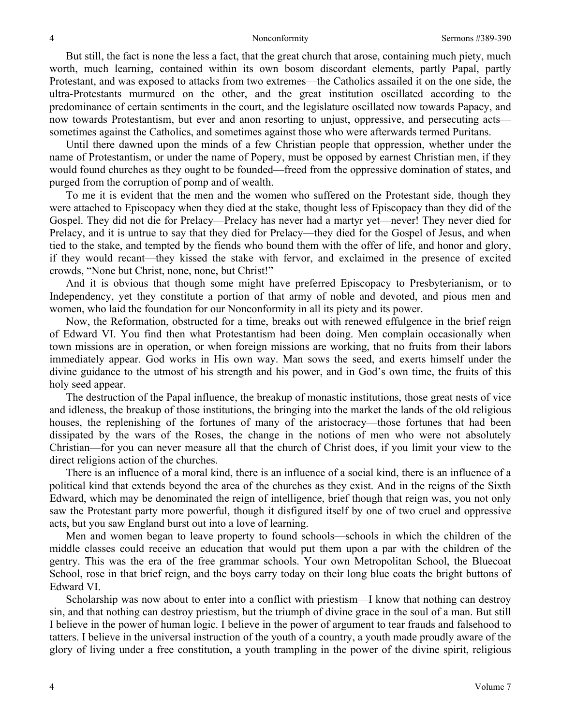But still, the fact is none the less a fact, that the great church that arose, containing much piety, much worth, much learning, contained within its own bosom discordant elements, partly Papal, partly Protestant, and was exposed to attacks from two extremes—the Catholics assailed it on the one side, the ultra-Protestants murmured on the other, and the great institution oscillated according to the predominance of certain sentiments in the court, and the legislature oscillated now towards Papacy, and now towards Protestantism, but ever and anon resorting to unjust, oppressive, and persecuting acts sometimes against the Catholics, and sometimes against those who were afterwards termed Puritans.

Until there dawned upon the minds of a few Christian people that oppression, whether under the name of Protestantism, or under the name of Popery, must be opposed by earnest Christian men, if they would found churches as they ought to be founded—freed from the oppressive domination of states, and purged from the corruption of pomp and of wealth.

To me it is evident that the men and the women who suffered on the Protestant side, though they were attached to Episcopacy when they died at the stake, thought less of Episcopacy than they did of the Gospel. They did not die for Prelacy—Prelacy has never had a martyr yet—never! They never died for Prelacy, and it is untrue to say that they died for Prelacy—they died for the Gospel of Jesus, and when tied to the stake, and tempted by the fiends who bound them with the offer of life, and honor and glory, if they would recant—they kissed the stake with fervor, and exclaimed in the presence of excited crowds, "None but Christ, none, none, but Christ!"

And it is obvious that though some might have preferred Episcopacy to Presbyterianism, or to Independency, yet they constitute a portion of that army of noble and devoted, and pious men and women, who laid the foundation for our Nonconformity in all its piety and its power.

Now, the Reformation, obstructed for a time, breaks out with renewed effulgence in the brief reign of Edward VI. You find then what Protestantism had been doing. Men complain occasionally when town missions are in operation, or when foreign missions are working, that no fruits from their labors immediately appear. God works in His own way. Man sows the seed, and exerts himself under the divine guidance to the utmost of his strength and his power, and in God's own time, the fruits of this holy seed appear.

The destruction of the Papal influence, the breakup of monastic institutions, those great nests of vice and idleness, the breakup of those institutions, the bringing into the market the lands of the old religious houses, the replenishing of the fortunes of many of the aristocracy—those fortunes that had been dissipated by the wars of the Roses, the change in the notions of men who were not absolutely Christian—for you can never measure all that the church of Christ does, if you limit your view to the direct religions action of the churches.

There is an influence of a moral kind, there is an influence of a social kind, there is an influence of a political kind that extends beyond the area of the churches as they exist. And in the reigns of the Sixth Edward, which may be denominated the reign of intelligence, brief though that reign was, you not only saw the Protestant party more powerful, though it disfigured itself by one of two cruel and oppressive acts, but you saw England burst out into a love of learning.

Men and women began to leave property to found schools—schools in which the children of the middle classes could receive an education that would put them upon a par with the children of the gentry. This was the era of the free grammar schools. Your own Metropolitan School, the Bluecoat School, rose in that brief reign, and the boys carry today on their long blue coats the bright buttons of Edward VI.

Scholarship was now about to enter into a conflict with priestism—I know that nothing can destroy sin, and that nothing can destroy priestism, but the triumph of divine grace in the soul of a man. But still I believe in the power of human logic. I believe in the power of argument to tear frauds and falsehood to tatters. I believe in the universal instruction of the youth of a country, a youth made proudly aware of the glory of living under a free constitution, a youth trampling in the power of the divine spirit, religious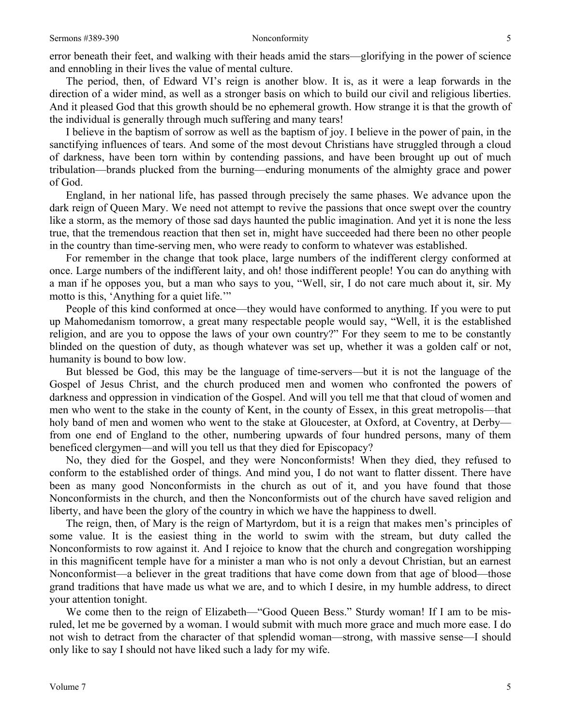error beneath their feet, and walking with their heads amid the stars—glorifying in the power of science and ennobling in their lives the value of mental culture.

The period, then, of Edward VI's reign is another blow. It is, as it were a leap forwards in the direction of a wider mind, as well as a stronger basis on which to build our civil and religious liberties. And it pleased God that this growth should be no ephemeral growth. How strange it is that the growth of the individual is generally through much suffering and many tears!

I believe in the baptism of sorrow as well as the baptism of joy. I believe in the power of pain, in the sanctifying influences of tears. And some of the most devout Christians have struggled through a cloud of darkness, have been torn within by contending passions, and have been brought up out of much tribulation—brands plucked from the burning—enduring monuments of the almighty grace and power of God.

England, in her national life, has passed through precisely the same phases. We advance upon the dark reign of Queen Mary. We need not attempt to revive the passions that once swept over the country like a storm, as the memory of those sad days haunted the public imagination. And yet it is none the less true, that the tremendous reaction that then set in, might have succeeded had there been no other people in the country than time-serving men, who were ready to conform to whatever was established.

For remember in the change that took place, large numbers of the indifferent clergy conformed at once. Large numbers of the indifferent laity, and oh! those indifferent people! You can do anything with a man if he opposes you, but a man who says to you, "Well, sir, I do not care much about it, sir. My motto is this, 'Anything for a quiet life.'"

People of this kind conformed at once—they would have conformed to anything. If you were to put up Mahomedanism tomorrow, a great many respectable people would say, "Well, it is the established religion, and are you to oppose the laws of your own country?" For they seem to me to be constantly blinded on the question of duty, as though whatever was set up, whether it was a golden calf or not, humanity is bound to bow low.

But blessed be God, this may be the language of time-servers—but it is not the language of the Gospel of Jesus Christ, and the church produced men and women who confronted the powers of darkness and oppression in vindication of the Gospel. And will you tell me that that cloud of women and men who went to the stake in the county of Kent, in the county of Essex, in this great metropolis—that holy band of men and women who went to the stake at Gloucester, at Oxford, at Coventry, at Derbyfrom one end of England to the other, numbering upwards of four hundred persons, many of them beneficed clergymen—and will you tell us that they died for Episcopacy?

No, they died for the Gospel, and they were Nonconformists! When they died, they refused to conform to the established order of things. And mind you, I do not want to flatter dissent. There have been as many good Nonconformists in the church as out of it, and you have found that those Nonconformists in the church, and then the Nonconformists out of the church have saved religion and liberty, and have been the glory of the country in which we have the happiness to dwell.

The reign, then, of Mary is the reign of Martyrdom, but it is a reign that makes men's principles of some value. It is the easiest thing in the world to swim with the stream, but duty called the Nonconformists to row against it. And I rejoice to know that the church and congregation worshipping in this magnificent temple have for a minister a man who is not only a devout Christian, but an earnest Nonconformist—a believer in the great traditions that have come down from that age of blood—those grand traditions that have made us what we are, and to which I desire, in my humble address, to direct your attention tonight.

We come then to the reign of Elizabeth—"Good Queen Bess." Sturdy woman! If I am to be misruled, let me be governed by a woman. I would submit with much more grace and much more ease. I do not wish to detract from the character of that splendid woman—strong, with massive sense—I should only like to say I should not have liked such a lady for my wife.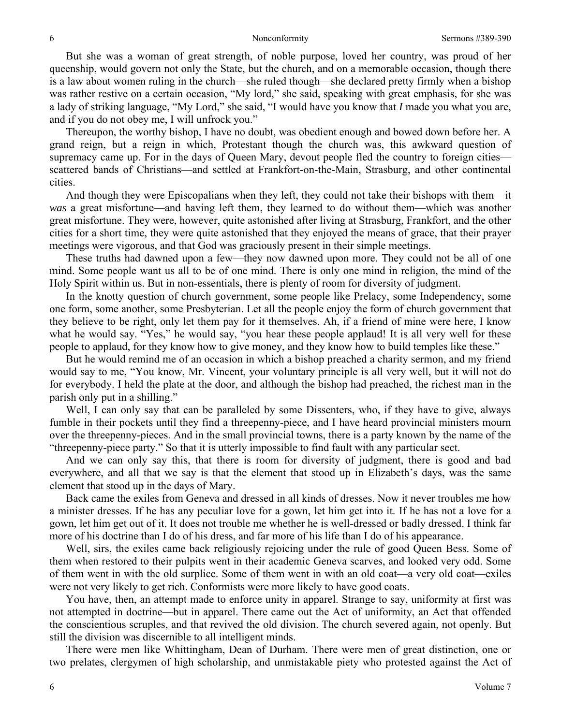But she was a woman of great strength, of noble purpose, loved her country, was proud of her queenship, would govern not only the State, but the church, and on a memorable occasion, though there is a law about women ruling in the church—she ruled though—she declared pretty firmly when a bishop was rather restive on a certain occasion, "My lord," she said, speaking with great emphasis, for she was a lady of striking language, "My Lord," she said, "I would have you know that *I* made you what you are, and if you do not obey me, I will unfrock you."

Thereupon, the worthy bishop, I have no doubt, was obedient enough and bowed down before her. A grand reign, but a reign in which, Protestant though the church was, this awkward question of supremacy came up. For in the days of Queen Mary, devout people fled the country to foreign cities scattered bands of Christians—and settled at Frankfort-on-the-Main, Strasburg, and other continental cities.

And though they were Episcopalians when they left, they could not take their bishops with them—it *was* a great misfortune—and having left them, they learned to do without them—which was another great misfortune. They were, however, quite astonished after living at Strasburg, Frankfort, and the other cities for a short time, they were quite astonished that they enjoyed the means of grace, that their prayer meetings were vigorous, and that God was graciously present in their simple meetings.

These truths had dawned upon a few—they now dawned upon more. They could not be all of one mind. Some people want us all to be of one mind. There is only one mind in religion, the mind of the Holy Spirit within us. But in non-essentials, there is plenty of room for diversity of judgment.

In the knotty question of church government, some people like Prelacy, some Independency, some one form, some another, some Presbyterian. Let all the people enjoy the form of church government that they believe to be right, only let them pay for it themselves. Ah, if a friend of mine were here, I know what he would say. "Yes," he would say, "you hear these people applaud! It is all very well for these people to applaud, for they know how to give money, and they know how to build temples like these."

But he would remind me of an occasion in which a bishop preached a charity sermon, and my friend would say to me, "You know, Mr. Vincent, your voluntary principle is all very well, but it will not do for everybody. I held the plate at the door, and although the bishop had preached, the richest man in the parish only put in a shilling."

Well, I can only say that can be paralleled by some Dissenters, who, if they have to give, always fumble in their pockets until they find a threepenny-piece, and I have heard provincial ministers mourn over the threepenny-pieces. And in the small provincial towns, there is a party known by the name of the "threepenny-piece party." So that it is utterly impossible to find fault with any particular sect.

And we can only say this, that there is room for diversity of judgment, there is good and bad everywhere, and all that we say is that the element that stood up in Elizabeth's days, was the same element that stood up in the days of Mary.

Back came the exiles from Geneva and dressed in all kinds of dresses. Now it never troubles me how a minister dresses. If he has any peculiar love for a gown, let him get into it. If he has not a love for a gown, let him get out of it. It does not trouble me whether he is well-dressed or badly dressed. I think far more of his doctrine than I do of his dress, and far more of his life than I do of his appearance.

Well, sirs, the exiles came back religiously rejoicing under the rule of good Queen Bess. Some of them when restored to their pulpits went in their academic Geneva scarves, and looked very odd. Some of them went in with the old surplice. Some of them went in with an old coat—a very old coat—exiles were not very likely to get rich. Conformists were more likely to have good coats.

You have, then, an attempt made to enforce unity in apparel. Strange to say, uniformity at first was not attempted in doctrine—but in apparel. There came out the Act of uniformity, an Act that offended the conscientious scruples, and that revived the old division. The church severed again, not openly. But still the division was discernible to all intelligent minds.

There were men like Whittingham, Dean of Durham. There were men of great distinction, one or two prelates, clergymen of high scholarship, and unmistakable piety who protested against the Act of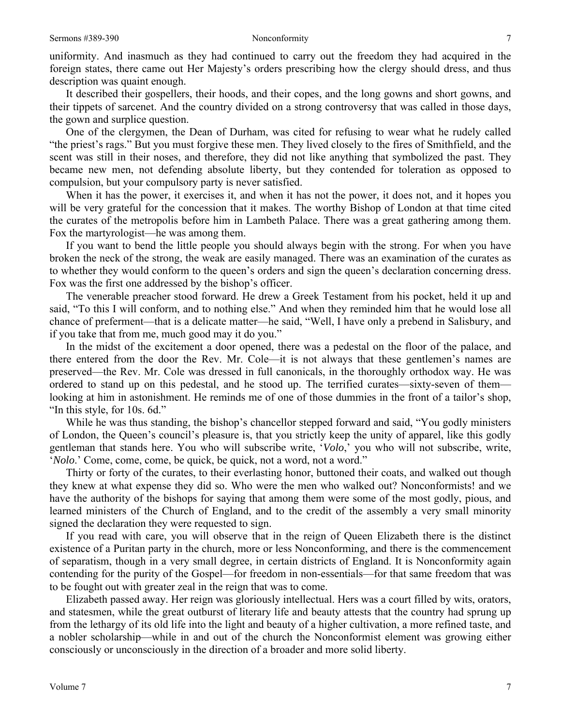uniformity. And inasmuch as they had continued to carry out the freedom they had acquired in the foreign states, there came out Her Majesty's orders prescribing how the clergy should dress, and thus description was quaint enough.

It described their gospellers, their hoods, and their copes, and the long gowns and short gowns, and their tippets of sarcenet. And the country divided on a strong controversy that was called in those days, the gown and surplice question.

One of the clergymen, the Dean of Durham, was cited for refusing to wear what he rudely called "the priest's rags." But you must forgive these men. They lived closely to the fires of Smithfield, and the scent was still in their noses, and therefore, they did not like anything that symbolized the past. They became new men, not defending absolute liberty, but they contended for toleration as opposed to compulsion, but your compulsory party is never satisfied.

When it has the power, it exercises it, and when it has not the power, it does not, and it hopes you will be very grateful for the concession that it makes. The worthy Bishop of London at that time cited the curates of the metropolis before him in Lambeth Palace. There was a great gathering among them. Fox the martyrologist—he was among them.

If you want to bend the little people you should always begin with the strong. For when you have broken the neck of the strong, the weak are easily managed. There was an examination of the curates as to whether they would conform to the queen's orders and sign the queen's declaration concerning dress. Fox was the first one addressed by the bishop's officer.

The venerable preacher stood forward. He drew a Greek Testament from his pocket, held it up and said, "To this I will conform, and to nothing else." And when they reminded him that he would lose all chance of preferment—that is a delicate matter—he said, "Well, I have only a prebend in Salisbury, and if you take that from me, much good may it do you."

In the midst of the excitement a door opened, there was a pedestal on the floor of the palace, and there entered from the door the Rev. Mr. Cole—it is not always that these gentlemen's names are preserved—the Rev. Mr. Cole was dressed in full canonicals, in the thoroughly orthodox way. He was ordered to stand up on this pedestal, and he stood up. The terrified curates—sixty-seven of them looking at him in astonishment. He reminds me of one of those dummies in the front of a tailor's shop, "In this style, for 10s. 6d."

While he was thus standing, the bishop's chancellor stepped forward and said, "You godly ministers of London, the Queen's council's pleasure is, that you strictly keep the unity of apparel, like this godly gentleman that stands here. You who will subscribe write, '*Volo*,' you who will not subscribe, write, '*Nolo*.' Come, come, come, be quick, be quick, not a word, not a word."

Thirty or forty of the curates, to their everlasting honor, buttoned their coats, and walked out though they knew at what expense they did so. Who were the men who walked out? Nonconformists! and we have the authority of the bishops for saying that among them were some of the most godly, pious, and learned ministers of the Church of England, and to the credit of the assembly a very small minority signed the declaration they were requested to sign.

If you read with care, you will observe that in the reign of Queen Elizabeth there is the distinct existence of a Puritan party in the church, more or less Nonconforming, and there is the commencement of separatism, though in a very small degree, in certain districts of England. It is Nonconformity again contending for the purity of the Gospel—for freedom in non-essentials—for that same freedom that was to be fought out with greater zeal in the reign that was to come.

Elizabeth passed away. Her reign was gloriously intellectual. Hers was a court filled by wits, orators, and statesmen, while the great outburst of literary life and beauty attests that the country had sprung up from the lethargy of its old life into the light and beauty of a higher cultivation, a more refined taste, and a nobler scholarship—while in and out of the church the Nonconformist element was growing either consciously or unconsciously in the direction of a broader and more solid liberty.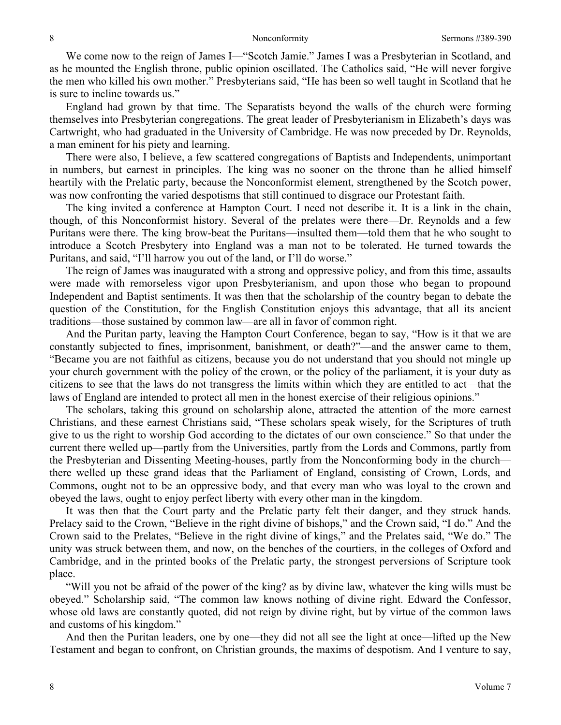We come now to the reign of James I—"Scotch Jamie." James I was a Presbyterian in Scotland, and as he mounted the English throne, public opinion oscillated. The Catholics said, "He will never forgive the men who killed his own mother." Presbyterians said, "He has been so well taught in Scotland that he is sure to incline towards us."

England had grown by that time. The Separatists beyond the walls of the church were forming themselves into Presbyterian congregations. The great leader of Presbyterianism in Elizabeth's days was Cartwright, who had graduated in the University of Cambridge. He was now preceded by Dr. Reynolds, a man eminent for his piety and learning.

There were also, I believe, a few scattered congregations of Baptists and Independents, unimportant in numbers, but earnest in principles. The king was no sooner on the throne than he allied himself heartily with the Prelatic party, because the Nonconformist element, strengthened by the Scotch power, was now confronting the varied despotisms that still continued to disgrace our Protestant faith.

The king invited a conference at Hampton Court. I need not describe it. It is a link in the chain, though, of this Nonconformist history. Several of the prelates were there—Dr. Reynolds and a few Puritans were there. The king brow-beat the Puritans—insulted them—told them that he who sought to introduce a Scotch Presbytery into England was a man not to be tolerated. He turned towards the Puritans, and said, "I'll harrow you out of the land, or I'll do worse."

The reign of James was inaugurated with a strong and oppressive policy, and from this time, assaults were made with remorseless vigor upon Presbyterianism, and upon those who began to propound Independent and Baptist sentiments. It was then that the scholarship of the country began to debate the question of the Constitution, for the English Constitution enjoys this advantage, that all its ancient traditions—those sustained by common law—are all in favor of common right.

And the Puritan party, leaving the Hampton Court Conference, began to say, "How is it that we are constantly subjected to fines, imprisonment, banishment, or death?"—and the answer came to them, "Became you are not faithful as citizens, because you do not understand that you should not mingle up your church government with the policy of the crown, or the policy of the parliament, it is your duty as citizens to see that the laws do not transgress the limits within which they are entitled to act—that the laws of England are intended to protect all men in the honest exercise of their religious opinions."

The scholars, taking this ground on scholarship alone, attracted the attention of the more earnest Christians, and these earnest Christians said, "These scholars speak wisely, for the Scriptures of truth give to us the right to worship God according to the dictates of our own conscience." So that under the current there welled up—partly from the Universities, partly from the Lords and Commons, partly from the Presbyterian and Dissenting Meeting-houses, partly from the Nonconforming body in the church there welled up these grand ideas that the Parliament of England, consisting of Crown, Lords, and Commons, ought not to be an oppressive body, and that every man who was loyal to the crown and obeyed the laws, ought to enjoy perfect liberty with every other man in the kingdom.

It was then that the Court party and the Prelatic party felt their danger, and they struck hands. Prelacy said to the Crown, "Believe in the right divine of bishops," and the Crown said, "I do." And the Crown said to the Prelates, "Believe in the right divine of kings," and the Prelates said, "We do." The unity was struck between them, and now, on the benches of the courtiers, in the colleges of Oxford and Cambridge, and in the printed books of the Prelatic party, the strongest perversions of Scripture took place.

"Will you not be afraid of the power of the king? as by divine law, whatever the king wills must be obeyed." Scholarship said, "The common law knows nothing of divine right. Edward the Confessor, whose old laws are constantly quoted, did not reign by divine right, but by virtue of the common laws and customs of his kingdom."

And then the Puritan leaders, one by one—they did not all see the light at once—lifted up the New Testament and began to confront, on Christian grounds, the maxims of despotism. And I venture to say,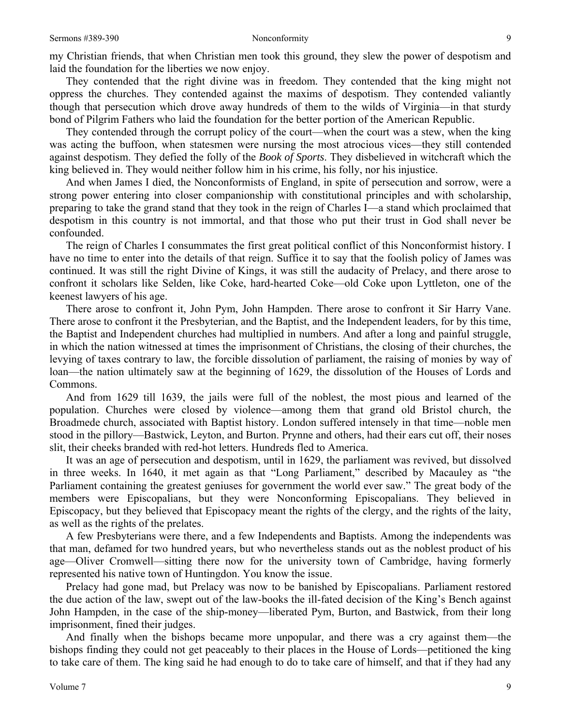They contended that the right divine was in freedom*.* They contended that the king might not oppress the churches. They contended against the maxims of despotism. They contended valiantly though that persecution which drove away hundreds of them to the wilds of Virginia—in that sturdy bond of Pilgrim Fathers who laid the foundation for the better portion of the American Republic.

They contended through the corrupt policy of the court—when the court was a stew, when the king was acting the buffoon, when statesmen were nursing the most atrocious vices—they still contended against despotism. They defied the folly of the *Book of Sports*. They disbelieved in witchcraft which the king believed in. They would neither follow him in his crime, his folly, nor his injustice.

And when James I died, the Nonconformists of England, in spite of persecution and sorrow, were a strong power entering into closer companionship with constitutional principles and with scholarship, preparing to take the grand stand that they took in the reign of Charles I—a stand which proclaimed that despotism in this country is not immortal, and that those who put their trust in God shall never be confounded.

The reign of Charles I consummates the first great political conflict of this Nonconformist history. I have no time to enter into the details of that reign. Suffice it to say that the foolish policy of James was continued. It was still the right Divine of Kings, it was still the audacity of Prelacy, and there arose to confront it scholars like Selden, like Coke, hard-hearted Coke—old Coke upon Lyttleton, one of the keenest lawyers of his age.

There arose to confront it, John Pym, John Hampden. There arose to confront it Sir Harry Vane. There arose to confront it the Presbyterian, and the Baptist, and the Independent leaders, for by this time, the Baptist and Independent churches had multiplied in numbers. And after a long and painful struggle, in which the nation witnessed at times the imprisonment of Christians, the closing of their churches, the levying of taxes contrary to law, the forcible dissolution of parliament, the raising of monies by way of loan—the nation ultimately saw at the beginning of 1629, the dissolution of the Houses of Lords and Commons.

And from 1629 till 1639, the jails were full of the noblest, the most pious and learned of the population. Churches were closed by violence—among them that grand old Bristol church, the Broadmede church, associated with Baptist history. London suffered intensely in that time—noble men stood in the pillory—Bastwick, Leyton, and Burton. Prynne and others, had their ears cut off, their noses slit, their cheeks branded with red-hot letters. Hundreds fled to America.

It was an age of persecution and despotism, until in 1629, the parliament was revived, but dissolved in three weeks. In 1640, it met again as that "Long Parliament," described by Macauley as "the Parliament containing the greatest geniuses for government the world ever saw." The great body of the members were Episcopalians, but they were Nonconforming Episcopalians. They believed in Episcopacy, but they believed that Episcopacy meant the rights of the clergy, and the rights of the laity, as well as the rights of the prelates.

A few Presbyterians were there, and a few Independents and Baptists. Among the independents was that man, defamed for two hundred years, but who nevertheless stands out as the noblest product of his age—Oliver Cromwell—sitting there now for the university town of Cambridge, having formerly represented his native town of Huntingdon. You know the issue.

Prelacy had gone mad, but Prelacy was now to be banished by Episcopalians. Parliament restored the due action of the law, swept out of the law-books the ill-fated decision of the King's Bench against John Hampden, in the case of the ship-money—liberated Pym, Burton, and Bastwick, from their long imprisonment, fined their judges.

And finally when the bishops became more unpopular, and there was a cry against them—the bishops finding they could not get peaceably to their places in the House of Lords—petitioned the king to take care of them. The king said he had enough to do to take care of himself, and that if they had any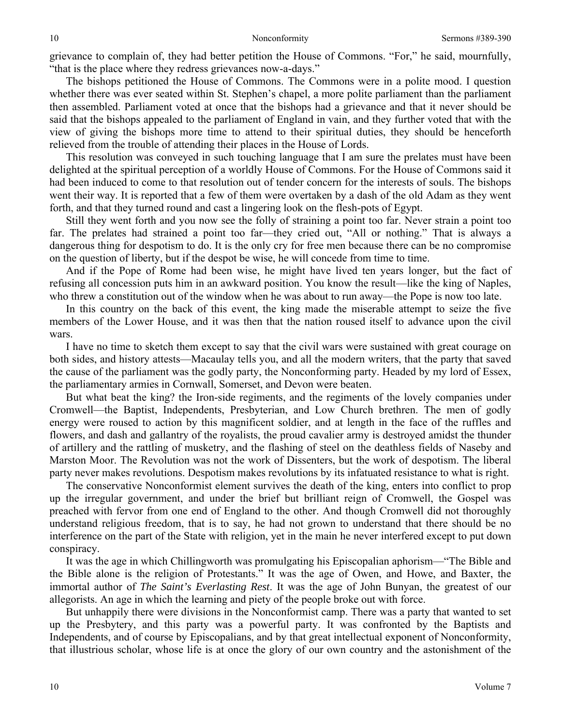grievance to complain of, they had better petition the House of Commons. "For," he said, mournfully, "that is the place where they redress grievances now-a-days."

The bishops petitioned the House of Commons. The Commons were in a polite mood. I question whether there was ever seated within St. Stephen's chapel, a more polite parliament than the parliament then assembled. Parliament voted at once that the bishops had a grievance and that it never should be said that the bishops appealed to the parliament of England in vain, and they further voted that with the view of giving the bishops more time to attend to their spiritual duties, they should be henceforth relieved from the trouble of attending their places in the House of Lords.

This resolution was conveyed in such touching language that I am sure the prelates must have been delighted at the spiritual perception of a worldly House of Commons. For the House of Commons said it had been induced to come to that resolution out of tender concern for the interests of souls. The bishops went their way. It is reported that a few of them were overtaken by a dash of the old Adam as they went forth, and that they turned round and cast a lingering look on the flesh-pots of Egypt.

Still they went forth and you now see the folly of straining a point too far. Never strain a point too far. The prelates had strained a point too far—they cried out, "All or nothing." That is always a dangerous thing for despotism to do. It is the only cry for free men because there can be no compromise on the question of liberty, but if the despot be wise, he will concede from time to time.

And if the Pope of Rome had been wise, he might have lived ten years longer, but the fact of refusing all concession puts him in an awkward position. You know the result—like the king of Naples, who threw a constitution out of the window when he was about to run away—the Pope is now too late.

In this country on the back of this event, the king made the miserable attempt to seize the five members of the Lower House, and it was then that the nation roused itself to advance upon the civil wars.

I have no time to sketch them except to say that the civil wars were sustained with great courage on both sides, and history attests—Macaulay tells you, and all the modern writers, that the party that saved the cause of the parliament was the godly party, the Nonconforming party. Headed by my lord of Essex, the parliamentary armies in Cornwall, Somerset, and Devon were beaten.

But what beat the king? the Iron-side regiments, and the regiments of the lovely companies under Cromwell—the Baptist, Independents, Presbyterian, and Low Church brethren. The men of godly energy were roused to action by this magnificent soldier, and at length in the face of the ruffles and flowers, and dash and gallantry of the royalists, the proud cavalier army is destroyed amidst the thunder of artillery and the rattling of musketry, and the flashing of steel on the deathless fields of Naseby and Marston Moor. The Revolution was not the work of Dissenters, but the work of despotism. The liberal party never makes revolutions. Despotism makes revolutions by its infatuated resistance to what is right.

The conservative Nonconformist element survives the death of the king, enters into conflict to prop up the irregular government, and under the brief but brilliant reign of Cromwell, the Gospel was preached with fervor from one end of England to the other. And though Cromwell did not thoroughly understand religious freedom, that is to say, he had not grown to understand that there should be no interference on the part of the State with religion, yet in the main he never interfered except to put down conspiracy.

It was the age in which Chillingworth was promulgating his Episcopalian aphorism—"The Bible and the Bible alone is the religion of Protestants." It was the age of Owen, and Howe, and Baxter, the immortal author of *The Saint's Everlasting Rest*. It was the age of John Bunyan, the greatest of our allegorists. An age in which the learning and piety of the people broke out with force.

But unhappily there were divisions in the Nonconformist camp. There was a party that wanted to set up the Presbytery, and this party was a powerful party. It was confronted by the Baptists and Independents, and of course by Episcopalians, and by that great intellectual exponent of Nonconformity, that illustrious scholar, whose life is at once the glory of our own country and the astonishment of the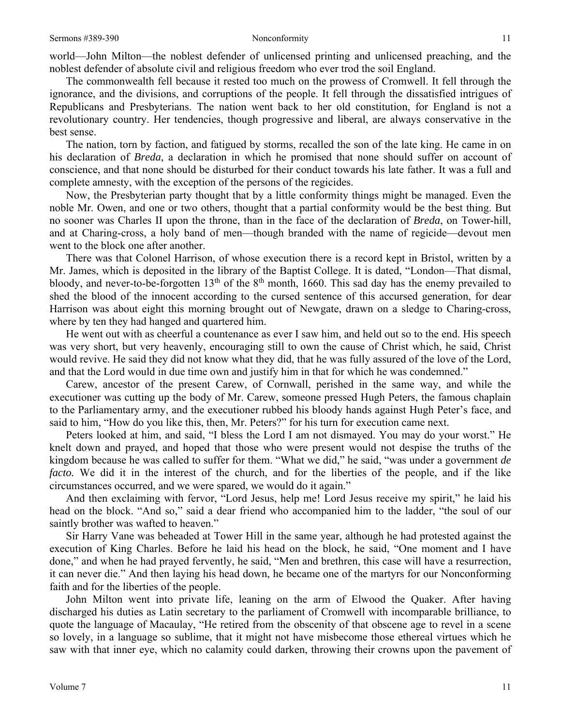world—John Milton—the noblest defender of unlicensed printing and unlicensed preaching, and the noblest defender of absolute civil and religious freedom who ever trod the soil England.

The commonwealth fell because it rested too much on the prowess of Cromwell. It fell through the ignorance, and the divisions, and corruptions of the people. It fell through the dissatisfied intrigues of Republicans and Presbyterians. The nation went back to her old constitution, for England is not a revolutionary country. Her tendencies, though progressive and liberal, are always conservative in the best sense.

The nation, torn by faction, and fatigued by storms, recalled the son of the late king. He came in on his declaration of *Breda*, a declaration in which he promised that none should suffer on account of conscience, and that none should be disturbed for their conduct towards his late father. It was a full and complete amnesty, with the exception of the persons of the regicides.

Now, the Presbyterian party thought that by a little conformity things might be managed. Even the noble Mr. Owen, and one or two others, thought that a partial conformity would be the best thing. But no sooner was Charles II upon the throne, than in the face of the declaration of *Breda*, on Tower-hill, and at Charing-cross, a holy band of men—though branded with the name of regicide—devout men went to the block one after another.

There was that Colonel Harrison, of whose execution there is a record kept in Bristol, written by a Mr. James, which is deposited in the library of the Baptist College. It is dated, "London—That dismal, bloody, and never-to-be-forgotten  $13<sup>th</sup>$  of the  $8<sup>th</sup>$  month, 1660. This sad day has the enemy prevailed to shed the blood of the innocent according to the cursed sentence of this accursed generation, for dear Harrison was about eight this morning brought out of Newgate, drawn on a sledge to Charing-cross, where by ten they had hanged and quartered him.

He went out with as cheerful a countenance as ever I saw him, and held out so to the end. His speech was very short, but very heavenly, encouraging still to own the cause of Christ which, he said, Christ would revive. He said they did not know what they did, that he was fully assured of the love of the Lord, and that the Lord would in due time own and justify him in that for which he was condemned."

Carew, ancestor of the present Carew, of Cornwall, perished in the same way, and while the executioner was cutting up the body of Mr. Carew, someone pressed Hugh Peters, the famous chaplain to the Parliamentary army, and the executioner rubbed his bloody hands against Hugh Peter's face, and said to him, "How do you like this, then, Mr. Peters?" for his turn for execution came next.

Peters looked at him, and said, "I bless the Lord I am not dismayed. You may do your worst." He knelt down and prayed, and hoped that those who were present would not despise the truths of the kingdom because he was called to suffer for them. "What we did," he said, "was under a government *de facto.* We did it in the interest of the church, and for the liberties of the people, and if the like circumstances occurred, and we were spared, we would do it again."

And then exclaiming with fervor, "Lord Jesus, help me! Lord Jesus receive my spirit," he laid his head on the block. "And so," said a dear friend who accompanied him to the ladder, "the soul of our saintly brother was wafted to heaven."

Sir Harry Vane was beheaded at Tower Hill in the same year, although he had protested against the execution of King Charles. Before he laid his head on the block, he said, "One moment and I have done," and when he had prayed fervently, he said, "Men and brethren, this case will have a resurrection, it can never die." And then laying his head down, he became one of the martyrs for our Nonconforming faith and for the liberties of the people.

John Milton went into private life, leaning on the arm of Elwood the Quaker. After having discharged his duties as Latin secretary to the parliament of Cromwell with incomparable brilliance, to quote the language of Macaulay, "He retired from the obscenity of that obscene age to revel in a scene so lovely, in a language so sublime, that it might not have misbecome those ethereal virtues which he saw with that inner eye, which no calamity could darken, throwing their crowns upon the pavement of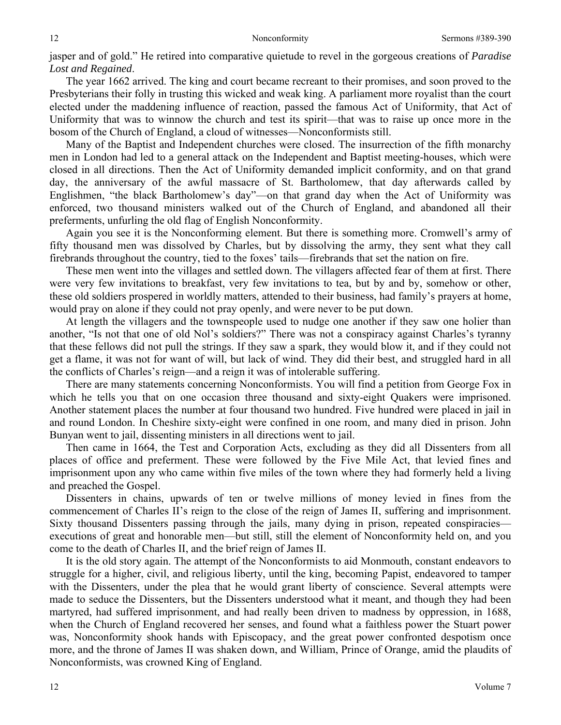jasper and of gold." He retired into comparative quietude to revel in the gorgeous creations of *Paradise Lost and Regained*.

The year 1662 arrived. The king and court became recreant to their promises, and soon proved to the Presbyterians their folly in trusting this wicked and weak king. A parliament more royalist than the court elected under the maddening influence of reaction, passed the famous Act of Uniformity, that Act of Uniformity that was to winnow the church and test its spirit—that was to raise up once more in the bosom of the Church of England, a cloud of witnesses—Nonconformists still.

Many of the Baptist and Independent churches were closed. The insurrection of the fifth monarchy men in London had led to a general attack on the Independent and Baptist meeting-houses, which were closed in all directions. Then the Act of Uniformity demanded implicit conformity, and on that grand day, the anniversary of the awful massacre of St. Bartholomew, that day afterwards called by Englishmen, "the black Bartholomew's day"—on that grand day when the Act of Uniformity was enforced, two thousand ministers walked out of the Church of England, and abandoned all their preferments, unfurling the old flag of English Nonconformity.

Again you see it is the Nonconforming element. But there is something more. Cromwell's army of fifty thousand men was dissolved by Charles, but by dissolving the army, they sent what they call firebrands throughout the country, tied to the foxes' tails—firebrands that set the nation on fire.

These men went into the villages and settled down. The villagers affected fear of them at first. There were very few invitations to breakfast, very few invitations to tea, but by and by, somehow or other, these old soldiers prospered in worldly matters, attended to their business, had family's prayers at home, would pray on alone if they could not pray openly, and were never to be put down.

At length the villagers and the townspeople used to nudge one another if they saw one holier than another, "Is not that one of old Nol's soldiers?" There was not a conspiracy against Charles's tyranny that these fellows did not pull the strings. If they saw a spark, they would blow it, and if they could not get a flame, it was not for want of will, but lack of wind. They did their best, and struggled hard in all the conflicts of Charles's reign—and a reign it was of intolerable suffering.

There are many statements concerning Nonconformists. You will find a petition from George Fox in which he tells you that on one occasion three thousand and sixty-eight Quakers were imprisoned. Another statement places the number at four thousand two hundred. Five hundred were placed in jail in and round London. In Cheshire sixty-eight were confined in one room, and many died in prison. John Bunyan went to jail, dissenting ministers in all directions went to jail.

Then came in 1664, the Test and Corporation Acts, excluding as they did all Dissenters from all places of office and preferment. These were followed by the Five Mile Act, that levied fines and imprisonment upon any who came within five miles of the town where they had formerly held a living and preached the Gospel.

Dissenters in chains, upwards of ten or twelve millions of money levied in fines from the commencement of Charles II's reign to the close of the reign of James II, suffering and imprisonment. Sixty thousand Dissenters passing through the jails, many dying in prison, repeated conspiracies executions of great and honorable men—but still, still the element of Nonconformity held on, and you come to the death of Charles II, and the brief reign of James II.

It is the old story again. The attempt of the Nonconformists to aid Monmouth, constant endeavors to struggle for a higher, civil, and religious liberty, until the king, becoming Papist, endeavored to tamper with the Dissenters, under the plea that he would grant liberty of conscience. Several attempts were made to seduce the Dissenters, but the Dissenters understood what it meant, and though they had been martyred, had suffered imprisonment, and had really been driven to madness by oppression, in 1688, when the Church of England recovered her senses, and found what a faithless power the Stuart power was, Nonconformity shook hands with Episcopacy, and the great power confronted despotism once more, and the throne of James II was shaken down, and William, Prince of Orange, amid the plaudits of Nonconformists, was crowned King of England.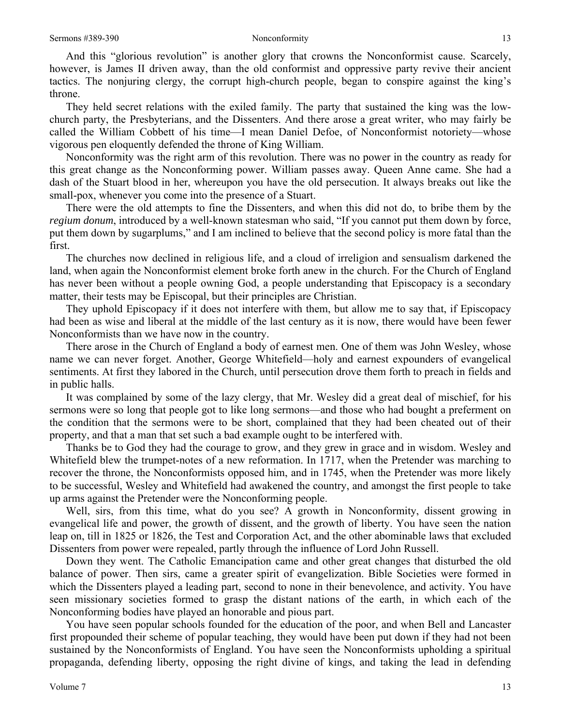And this "glorious revolution" is another glory that crowns the Nonconformist cause. Scarcely, however, is James II driven away, than the old conformist and oppressive party revive their ancient tactics. The nonjuring clergy, the corrupt high-church people, began to conspire against the king's throne.

They held secret relations with the exiled family. The party that sustained the king was the lowchurch party, the Presbyterians, and the Dissenters. And there arose a great writer, who may fairly be called the William Cobbett of his time—I mean Daniel Defoe, of Nonconformist notoriety—whose vigorous pen eloquently defended the throne of King William.

Nonconformity was the right arm of this revolution. There was no power in the country as ready for this great change as the Nonconforming power. William passes away. Queen Anne came. She had a dash of the Stuart blood in her, whereupon you have the old persecution. It always breaks out like the small-pox, whenever you come into the presence of a Stuart.

There were the old attempts to fine the Dissenters, and when this did not do, to bribe them by the *regium donum*, introduced by a well-known statesman who said, "If you cannot put them down by force, put them down by sugarplums," and I am inclined to believe that the second policy is more fatal than the first.

The churches now declined in religious life, and a cloud of irreligion and sensualism darkened the land, when again the Nonconformist element broke forth anew in the church. For the Church of England has never been without a people owning God, a people understanding that Episcopacy is a secondary matter, their tests may be Episcopal, but their principles are Christian.

They uphold Episcopacy if it does not interfere with them, but allow me to say that, if Episcopacy had been as wise and liberal at the middle of the last century as it is now, there would have been fewer Nonconformists than we have now in the country.

There arose in the Church of England a body of earnest men. One of them was John Wesley, whose name we can never forget. Another, George Whitefield—holy and earnest expounders of evangelical sentiments. At first they labored in the Church, until persecution drove them forth to preach in fields and in public halls.

It was complained by some of the lazy clergy, that Mr. Wesley did a great deal of mischief, for his sermons were so long that people got to like long sermons—and those who had bought a preferment on the condition that the sermons were to be short, complained that they had been cheated out of their property, and that a man that set such a bad example ought to be interfered with.

Thanks be to God they had the courage to grow, and they grew in grace and in wisdom. Wesley and Whitefield blew the trumpet-notes of a new reformation. In 1717, when the Pretender was marching to recover the throne, the Nonconformists opposed him, and in 1745, when the Pretender was more likely to be successful, Wesley and Whitefield had awakened the country, and amongst the first people to take up arms against the Pretender were the Nonconforming people.

Well, sirs, from this time, what do you see? A growth in Nonconformity, dissent growing in evangelical life and power, the growth of dissent, and the growth of liberty. You have seen the nation leap on, till in 1825 or 1826, the Test and Corporation Act, and the other abominable laws that excluded Dissenters from power were repealed, partly through the influence of Lord John Russell.

Down they went. The Catholic Emancipation came and other great changes that disturbed the old balance of power. Then sirs, came a greater spirit of evangelization. Bible Societies were formed in which the Dissenters played a leading part, second to none in their benevolence, and activity. You have seen missionary societies formed to grasp the distant nations of the earth, in which each of the Nonconforming bodies have played an honorable and pious part.

You have seen popular schools founded for the education of the poor, and when Bell and Lancaster first propounded their scheme of popular teaching, they would have been put down if they had not been sustained by the Nonconformists of England. You have seen the Nonconformists upholding a spiritual propaganda, defending liberty, opposing the right divine of kings, and taking the lead in defending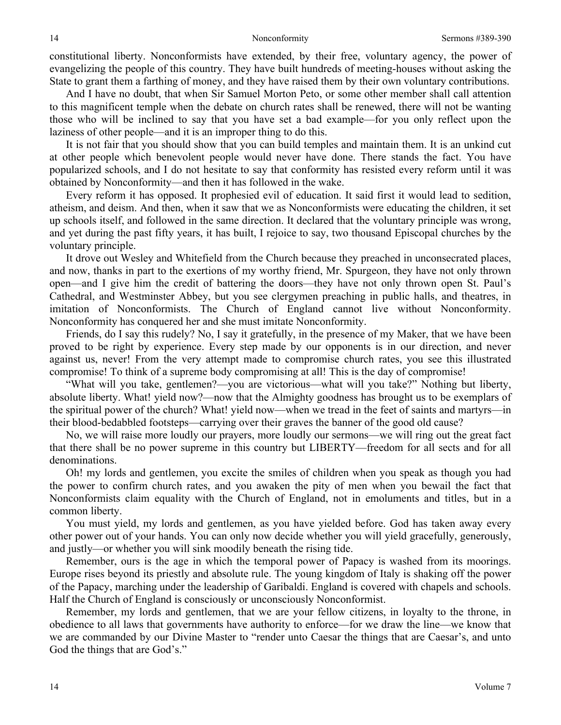constitutional liberty. Nonconformists have extended, by their free, voluntary agency, the power of evangelizing the people of this country. They have built hundreds of meeting-houses without asking the State to grant them a farthing of money, and they have raised them by their own voluntary contributions.

And I have no doubt, that when Sir Samuel Morton Peto, or some other member shall call attention to this magnificent temple when the debate on church rates shall be renewed, there will not be wanting those who will be inclined to say that you have set a bad example—for you only reflect upon the laziness of other people—and it is an improper thing to do this.

It is not fair that you should show that you can build temples and maintain them. It is an unkind cut at other people which benevolent people would never have done. There stands the fact. You have popularized schools, and I do not hesitate to say that conformity has resisted every reform until it was obtained by Nonconformity—and then it has followed in the wake.

Every reform it has opposed. It prophesied evil of education. It said first it would lead to sedition, atheism, and deism. And then, when it saw that we as Nonconformists were educating the children, it set up schools itself, and followed in the same direction. It declared that the voluntary principle was wrong, and yet during the past fifty years, it has built, I rejoice to say, two thousand Episcopal churches by the voluntary principle.

It drove out Wesley and Whitefield from the Church because they preached in unconsecrated places, and now, thanks in part to the exertions of my worthy friend, Mr. Spurgeon, they have not only thrown open—and I give him the credit of battering the doors—they have not only thrown open St. Paul's Cathedral, and Westminster Abbey, but you see clergymen preaching in public halls, and theatres, in imitation of Nonconformists. The Church of England cannot live without Nonconformity. Nonconformity has conquered her and she must imitate Nonconformity.

Friends, do I say this rudely? No, I say it gratefully, in the presence of my Maker, that we have been proved to be right by experience. Every step made by our opponents is in our direction, and never against us, never! From the very attempt made to compromise church rates, you see this illustrated compromise! To think of a supreme body compromising at all! This is the day of compromise!

"What will you take, gentlemen?—you are victorious—what will you take?" Nothing but liberty, absolute liberty. What! yield now?—now that the Almighty goodness has brought us to be exemplars of the spiritual power of the church? What! yield now—when we tread in the feet of saints and martyrs—in their blood-bedabbled footsteps—carrying over their graves the banner of the good old cause?

No, we will raise more loudly our prayers, more loudly our sermons—we will ring out the great fact that there shall be no power supreme in this country but LIBERTY—freedom for all sects and for all denominations.

Oh! my lords and gentlemen, you excite the smiles of children when you speak as though you had the power to confirm church rates, and you awaken the pity of men when you bewail the fact that Nonconformists claim equality with the Church of England, not in emoluments and titles, but in a common liberty.

You must yield, my lords and gentlemen, as you have yielded before. God has taken away every other power out of your hands. You can only now decide whether you will yield gracefully, generously, and justly—or whether you will sink moodily beneath the rising tide.

Remember, ours is the age in which the temporal power of Papacy is washed from its moorings. Europe rises beyond its priestly and absolute rule. The young kingdom of Italy is shaking off the power of the Papacy, marching under the leadership of Garibaldi. England is covered with chapels and schools. Half the Church of England is consciously or unconsciously Nonconformist.

Remember, my lords and gentlemen, that we are your fellow citizens, in loyalty to the throne, in obedience to all laws that governments have authority to enforce—for we draw the line—we know that we are commanded by our Divine Master to "render unto Caesar the things that are Caesar's, and unto God the things that are God's."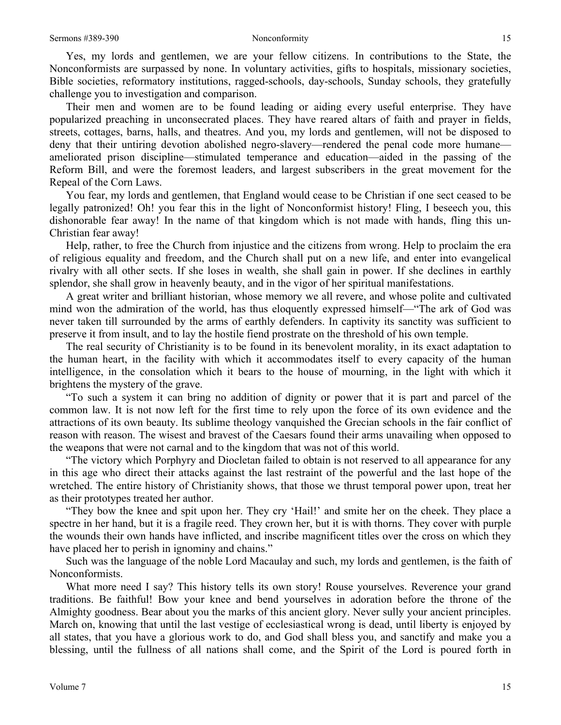Yes, my lords and gentlemen, we are your fellow citizens. In contributions to the State, the Nonconformists are surpassed by none. In voluntary activities, gifts to hospitals, missionary societies, Bible societies, reformatory institutions, ragged-schools, day-schools, Sunday schools, they gratefully challenge you to investigation and comparison.

Their men and women are to be found leading or aiding every useful enterprise. They have popularized preaching in unconsecrated places. They have reared altars of faith and prayer in fields, streets, cottages, barns, halls, and theatres. And you, my lords and gentlemen, will not be disposed to deny that their untiring devotion abolished negro-slavery—rendered the penal code more humane ameliorated prison discipline—stimulated temperance and education—aided in the passing of the Reform Bill, and were the foremost leaders, and largest subscribers in the great movement for the Repeal of the Corn Laws.

You fear, my lords and gentlemen, that England would cease to be Christian if one sect ceased to be legally patronized! Oh! you fear this in the light of Nonconformist history! Fling, I beseech you, this dishonorable fear away! In the name of that kingdom which is not made with hands, fling this un-Christian fear away!

Help, rather, to free the Church from injustice and the citizens from wrong. Help to proclaim the era of religious equality and freedom, and the Church shall put on a new life, and enter into evangelical rivalry with all other sects. If she loses in wealth, she shall gain in power. If she declines in earthly splendor, she shall grow in heavenly beauty, and in the vigor of her spiritual manifestations.

A great writer and brilliant historian, whose memory we all revere, and whose polite and cultivated mind won the admiration of the world, has thus eloquently expressed himself—"The ark of God was never taken till surrounded by the arms of earthly defenders. In captivity its sanctity was sufficient to preserve it from insult, and to lay the hostile fiend prostrate on the threshold of his own temple.

The real security of Christianity is to be found in its benevolent morality, in its exact adaptation to the human heart, in the facility with which it accommodates itself to every capacity of the human intelligence, in the consolation which it bears to the house of mourning, in the light with which it brightens the mystery of the grave.

"To such a system it can bring no addition of dignity or power that it is part and parcel of the common law. It is not now left for the first time to rely upon the force of its own evidence and the attractions of its own beauty. Its sublime theology vanquished the Grecian schools in the fair conflict of reason with reason. The wisest and bravest of the Caesars found their arms unavailing when opposed to the weapons that were not carnal and to the kingdom that was not of this world.

"The victory which Porphyry and Diocletan failed to obtain is not reserved to all appearance for any in this age who direct their attacks against the last restraint of the powerful and the last hope of the wretched. The entire history of Christianity shows, that those we thrust temporal power upon, treat her as their prototypes treated her author.

"They bow the knee and spit upon her. They cry 'Hail!' and smite her on the cheek. They place a spectre in her hand, but it is a fragile reed. They crown her, but it is with thorns. They cover with purple the wounds their own hands have inflicted, and inscribe magnificent titles over the cross on which they have placed her to perish in ignominy and chains."

Such was the language of the noble Lord Macaulay and such, my lords and gentlemen, is the faith of Nonconformists.

What more need I say? This history tells its own story! Rouse yourselves. Reverence your grand traditions. Be faithful! Bow your knee and bend yourselves in adoration before the throne of the Almighty goodness. Bear about you the marks of this ancient glory. Never sully your ancient principles. March on, knowing that until the last vestige of ecclesiastical wrong is dead, until liberty is enjoyed by all states, that you have a glorious work to do, and God shall bless you, and sanctify and make you a blessing, until the fullness of all nations shall come, and the Spirit of the Lord is poured forth in